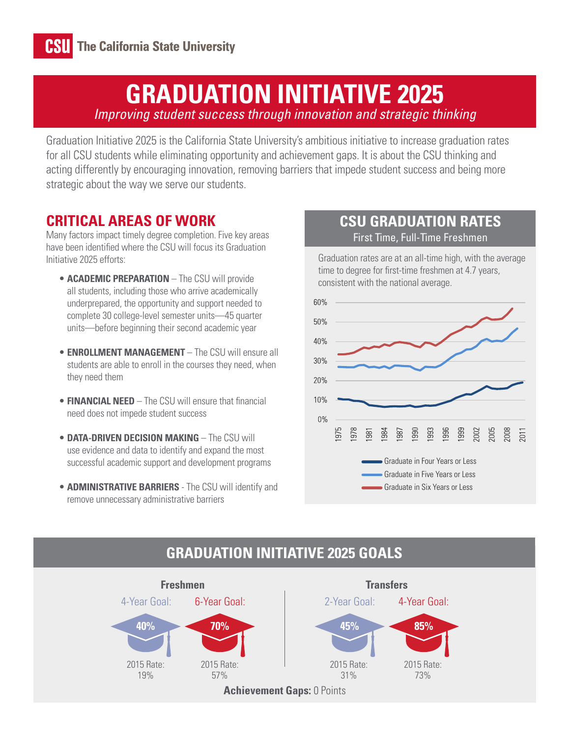# **GRADUATION INITIATIVE 2025**

*Improving student success through innovation and strategic thinking*

Graduation Initiative 2025 is the California State University's ambitious initiative to increase graduation rates for all CSU students while eliminating opportunity and achievement gaps. It is about the CSU thinking and acting differently by encouraging innovation, removing barriers that impede student success and being more strategic about the way we serve our students.

### **CRITICAL AREAS OF WORK**

Many factors impact timely degree completion. Five key areas have been identified where the CSU will focus its Graduation Initiative 2025 efforts:

- **ACADEMIC PREPARATION** The CSU will provide all students, including those who arrive academically underprepared, the opportunity and support needed to complete 30 college-level semester units—45 quarter units—before beginning their second academic year
- **ENROLLMENT MANAGEMENT** The CSU will ensure all students are able to enroll in the courses they need, when they need them
- **FINANCIAL NEED** The CSU will ensure that financial need does not impede student success
- **DATA-DRIVEN DECISION MAKING** The CSU will use evidence and data to identify and expand the most successful academic support and development programs
- **ADMINISTRATIVE BARRIERS** The CSU will identify and remove unnecessary administrative barriers

#### **CSU GRADUATION RATES** First Time, Full-Time Freshmen

Graduation rates are at an all-time high, with the average time to degree for first-time freshmen at 4.7 years, consistent with the national average.



## **GRADUATION INITIATIVE 2025 GOALS**